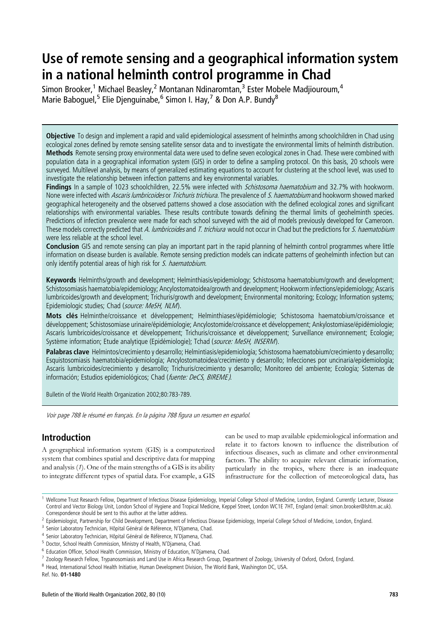# Use of remote sensing and a geographical information system in a national helminth control programme in Chad

Simon Brooker,<sup>1</sup> Michael Beasley,<sup>2</sup> Montanan Ndinaromtan,<sup>3</sup> Ester Mobele Madjiouroum,<sup>4</sup> Marie Baboquel,<sup>5</sup> Elie Djenguinabe,<sup>6</sup> Simon I. Hay,<sup>7</sup> & Don A.P. Bundy<sup>8</sup>

Objective To design and implement a rapid and valid epidemiological assessment of helminths among schoolchildren in Chad using ecological zones defined by remote sensing satellite sensor data and to investigate the environmental limits of helminth distribution. Methods Remote sensing proxy environmental data were used to define seven ecological zones in Chad. These were combined with population data in a geographical information system (GIS) in order to define a sampling protocol. On this basis, 20 schools were surveyed. Multilevel analysis, by means of generalized estimating equations to account for clustering at the school level, was used to investigate the relationship between infection patterns and key environmental variables.

Findings In a sample of 1023 schoolchildren, 22.5% were infected with *Schistosoma haematobium* and 32.7% with hookworm. None were infected with *Ascaris lumbricoides* or *Trichuris trichiura*. The prevalence of S. haematobium and hookworm showed marked geographical heterogeneity and the observed patterns showed a close association with the defined ecological zones and significant relationships with environmental variables. These results contribute towards defining the thermal limits of geohelminth species. Predictions of infection prevalence were made for each school surveyed with the aid of models previously developed for Cameroon. These models correctly predicted that A. lumbricoides and T. trichiura would not occur in Chad but the predictions for S. haematobium were less reliable at the school level.

Conclusion GIS and remote sensing can play an important part in the rapid planning of helminth control programmes where little information on disease burden is available. Remote sensing prediction models can indicate patterns of geohelminth infection but can only identify potential areas of high risk for S. haematobium.

Keywords Helminths/growth and development; Helminthiasis/epidemiology; Schistosoma haematobium/growth and development; Schistosomiasis haematobia/epidemiology; Ancylostomatoidea/growth and development; Hookworm infections/epidemiology; Ascaris lumbricoides/growth and development; Trichuris/growth and development; Environmental monitoring; Ecology; Information systems; Epidemiologic studies; Chad (source: MeSH, NLM).

Mots clés Helminthe/croissance et développement; Helminthiases/épidémiologie; Schistosoma haematobium/croissance et développement; Schistosomiase urinaire/épidémiologie; Ancylostomide/croissance et développement; Ankylostomiase/épidémiologie; Ascaris lumbricoides/croissance et développement; Trichuris/croissance et développement; Surveillance environnement; Ecologie; Système information; Etude analytique (Epidémiologie); Tchad (source: MeSH, INSERM).

Palabras clave Helmintos/crecimiento y desarrollo; Helmintiasis/epidemiología; Schistosoma haematobium/crecimiento y desarrollo; Esquistosomiasis haematobia/epidemiología; Ancylostomatoidea/crecimiento y desarrollo; Infecciones por uncinaria/epidemiología; Ascaris lumbricoides/crecimiento y desarrollo; Trichuris/crecimiento y desarrollo; Monitoreo del ambiente; Ecología; Sistemas de información: Estudios epidemiológicos: Chad (fuente: DeCS, BIREME).

Bulletin of the World Health Organization 2002;80:783-789.

Voir page 788 le résumé en français. En la página 788 figura un resumen en español.

# Introduction

A geographical information system (GIS) is a computerized system that combines spatial and descriptive data for mapping and analysis  $(1)$ . One of the main strengths of a GIS is its ability to integrate different types of spatial data. For example, a GIS

can be used to map available epidemiological information and relate it to factors known to influence the distribution of infectious diseases, such as climate and other environmental factors. The ability to acquire relevant climatic information, particularly in the tropics, where there is an inadequate infrastructure for the collection of meteorological data, has

Ref. No. 01-1480

<sup>&</sup>lt;sup>1</sup> Wellcome Trust Research Fellow, Department of Infectious Disease Epidemiology, Imperial College School of Medicine, London, England. Currently: Lecturer, Disease Control and Vector Biology Unit, London School of Hygiene and Tropical Medicine, Keppel Street, London WC1E 7HT, England (email: simon.brooker@lshtm.ac.uk). Correspondence should be sent to this author at the latter address.

<sup>&</sup>lt;sup>2</sup> Epidemiologist, Partnership for Child Development, Department of Infectious Disease Epidemiology, Imperial College School of Medicine, London, England.

<sup>&</sup>lt;sup>3</sup> Senior Laboratory Technician, Hôpital Général de Référence, N'Djamena, Chad.

Senior Laboratory Technician, Hôpital Général de Référence, N'Djamena, Chad.

<sup>5</sup> Doctor, School Health Commission, Ministry of Health, N'Djamena, Chad.

<sup>6</sup> Education Officer, School Health Commission, Ministry of Education, N'Djamena, Chad.

<sup>7</sup> Zoology Research Fellow, Trypanosomiasis and Land Use in Africa Research Group, Department of Zoology, University of Oxford, Oxford, England.

<sup>8</sup> Head, International School Health Initiative, Human Development Division, The World Bank, Washington DC, USA.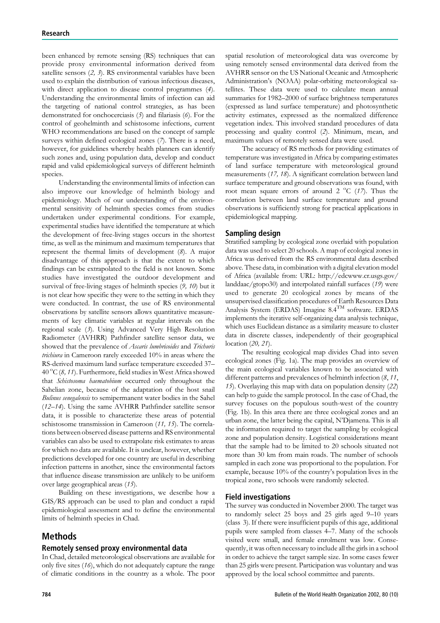been enhanced by remote sensing (RS) techniques that can provide proxy environmental information derived from satellite sensors (2, 3). RS environmental variables have been used to explain the distribution of various infectious diseases, with direct application to disease control programmes (4). Understanding the environmental limits of infection can aid the targeting of national control strategies, as has been demonstrated for onchocerciasis (5) and filariasis (6). For the control of geohelminth and schistosome infections, current WHO recommendations are based on the concept of sample surveys within defined ecological zones (7). There is a need, however, for guidelines whereby health planners can identify such zones and, using population data, develop and conduct rapid and valid epidemiological surveys of different helminth species.

Understanding the environmental limits of infection can also improve our knowledge of helminth biology and epidemiology. Much of our understanding of the environmental sensitivity of helminth species comes from studies undertaken under experimental conditions. For example, experimental studies have identified the temperature at which the development of free-living stages occurs in the shortest time, as well as the minimum and maximum temperatures that represent the thermal limits of development (8). A major disadvantage of this approach is that the extent to which findings can be extrapolated to the field is not known. Some studies have investigated the outdoor development and survival of free-living stages of helminth species (9, 10) but it is not clear how specific they were to the setting in which they were conducted. In contrast, the use of RS environmental observations by satellite sensors allows quantitative measurements of key climatic variables at regular intervals on the regional scale (3). Using Advanced Very High Resolution Radiometer (AVHRR) Pathfinder satellite sensor data, we showed that the prevalence of Ascaris lumbricoides and Trichuris trichiura in Cameroon rarely exceeded 10% in areas where the RS-derived maximum land surface temperature exceeded 37– 40 °C (8, 11). Furthermore, field studies in West Africa showed that Schistosoma haematobium occurred only throughout the Sahelian zone, because of the adaptation of the host snail Bulinus senegalensis to semipermanent water bodies in the Sahel (12–14). Using the same AVHRR Pathfinder satellite sensor data, it is possible to characterize these areas of potential schistosome transmission in Cameroon (11, 15). The correlations between observed disease patterns and RS environmental variables can also be used to extrapolate risk estimates to areas for which no data are available. It is unclear, however, whether predictions developed for one country are useful in describing infection patterns in another, since the environmental factors that influence disease transmission are unlikely to be uniform over large geographical areas (15).

Building on these investigations, we describe how a GIS/RS approach can be used to plan and conduct a rapid epidemiological assessment and to define the environmental limits of helminth species in Chad.

# Methods

## Remotely sensed proxy environmental data

In Chad, detailed meteorological observations are available for only five sites (16), which do not adequately capture the range of climatic conditions in the country as a whole. The poor spatial resolution of meteorological data was overcome by using remotely sensed environmental data derived from the AVHRR sensor on the US National Oceanic and Atmospheric Administration's (NOAA) polar-orbiting meteorological satellites. These data were used to calculate mean annual summaries for 1982–2000 of surface brightness temperatures (expressed as land surface temperature) and photosynthetic activity estimates, expressed as the normalized difference vegetation index. This involved standard procedures of data processing and quality control (2). Minimum, mean, and maximum values of remotely sensed data were used.

The accuracy of RS methods for providing estimates of temperature was investigated in Africa by comparing estimates of land surface temperature with meteorological ground measurements (17, 18). A significant correlation between land surface temperature and ground observations was found, with root mean square errors of around 2  $^{\circ}$ C (17). Thus the correlation between land surface temperature and ground observations is sufficiently strong for practical applications in epidemiological mapping.

## Sampling design

Stratified sampling by ecological zone overlaid with population data was used to select 20 schools. A map of ecological zones in Africa was derived from the RS environmental data described above. These data, in combination with a digital elevation model of Africa (available from: URL: http://edcwww.cr.usgs.gov/ landdaac/gtopo30) and interpolated rainfall surfaces (19) were used to generate 20 ecological zones by means of the unsupervised classification procedures of Earth Resources Data Analysis System (ERDAS) Imagine 8.4TM software. ERDAS implements the iterative self-organizing data analysis technique, which uses Euclidean distance as a similarity measure to cluster data in discrete classes, independently of their geographical location (20, 21).

The resulting ecological map divides Chad into seven ecological zones (Fig. 1a). The map provides an overview of the main ecological variables known to be associated with different patterns and prevalences of helminth infection (8, 11, 15). Overlaying this map with data on population density (22) can help to guide the sample protocol. In the case of Chad, the survey focuses on the populous south-west of the country (Fig. 1b). In this area there are three ecological zones and an urban zone, the latter being the capital, N'Djamena. This is all the information required to target the sampling by ecological zone and population density. Logistical considerations meant that the sample had to be limited to 20 schools situated not more than 30 km from main roads. The number of schools sampled in each zone was proportional to the population. For example, because 10% of the country's population lives in the tropical zone, two schools were randomly selected.

#### Field investigations

The survey was conducted in November 2000. The target was to randomly select 25 boys and 25 girls aged 9–10 years (class 3). If there were insufficient pupils of this age, additional pupils were sampled from classes 4–7. Many of the schools visited were small, and female enrolment was low. Consequently, it was often necessary to include all the girls in a school in order to achieve the target sample size. In some cases fewer than 25 girls were present. Participation was voluntary and was approved by the local school committee and parents.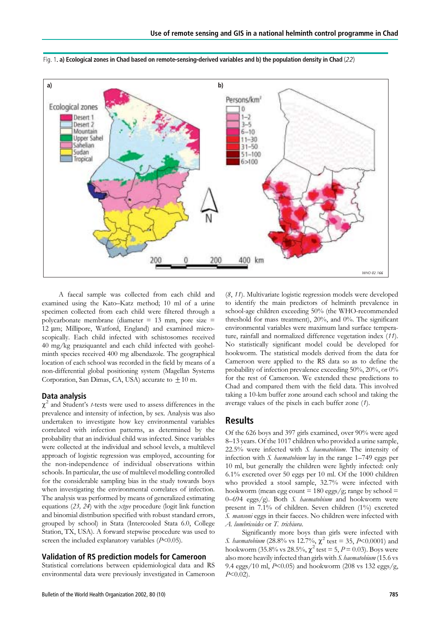



A faecal sample was collected from each child and examined using the Kato–Katz method; 10 ml of a urine specimen collected from each child were filtered through a polycarbonate membrane (diameter = 13 mm, pore size = 12 µm; Millipore, Watford, England) and examined microscopically. Each child infected with schistosomes received 40 mg/kg praziquantel and each child infected with geohelminth species received 400 mg albendazole. The geographical location of each school was recorded in the field by means of a non-differential global positioning system (Magellan Systems Corporation, San Dimas, CA, USA) accurate to  $\pm 10$  m.

#### Data analysis

 $\chi^2$  and Student's *t*-tests were used to assess differences in the prevalence and intensity of infection, by sex. Analysis was also undertaken to investigate how key environmental variables correlated with infection patterns, as determined by the probability that an individual child was infected. Since variables were collected at the individual and school levels, a multilevel approach of logistic regression was employed, accounting for the non-independence of individual observations within schools. In particular, the use of multilevel modelling controlled for the considerable sampling bias in the study towards boys when investigating the environmental correlates of infection. The analysis was performed by means of generalized estimating equations (23, 24) with the xtgee procedure (logit link function and binomial distribution specified with robust standard errors, grouped by school) in Stata (Intercooled Stata 6.0, College Station, TX, USA). A forward stepwise procedure was used to screen the included explanatory variables  $(P<0.05)$ .

#### Validation of RS prediction models for Cameroon

Statistical correlations between epidemiological data and RS environmental data were previously investigated in Cameroon

(8, 11). Multivariate logistic regression models were developed to identify the main predictors of helminth prevalence in school-age children exceeding 50% (the WHO-recommended threshold for mass treatment), 20%, and 0%. The significant environmental variables were maximum land surface temperature, rainfall and normalized difference vegetation index (11). No statistically significant model could be developed for hookworm. The statistical models derived from the data for Cameroon were applied to the RS data so as to define the probability of infection prevalence exceeding 50%, 20%, or 0% for the rest of Cameroon. We extended these predictions to Chad and compared them with the field data. This involved taking a 10-km buffer zone around each school and taking the average values of the pixels in each buffer zone  $(1)$ .

## **Results**

Of the 626 boys and 397 girls examined, over 90% were aged 8–13 years. Of the 1017 children who provided a urine sample, 22.5% were infected with S. haematobium. The intensity of infection with S. haematobium lay in the range 1–749 eggs per 10 ml, but generally the children were lightly infected: only 6.1% excreted over 50 eggs per 10 ml. Of the 1000 children who provided a stool sample, 32.7% were infected with hookworm (mean egg count  $= 180$  eggs/g; range by school  $=$ 0–694 eggs/g). Both S. haematobium and hookworm were present in 7.1% of children. Seven children (1%) excreted S. mansoni eggs in their faeces. No children were infected with A. lumbricoides or T. trichiura.

Significantly more boys than girls were infected with S. haematobium (28.8% vs 12.7%,  $\chi^2$  test = 35, P<0.0001) and hookworm (35.8% vs 28.5%,  $\chi^2$  test = 5, P = 0.03). Boys were also more heavily infected than girls with S. haematobium (15.6 vs 9.4 eggs/10 ml,  $P<0.05$ ) and hookworm (208 vs 132 eggs/g,  $P<0.02$ ).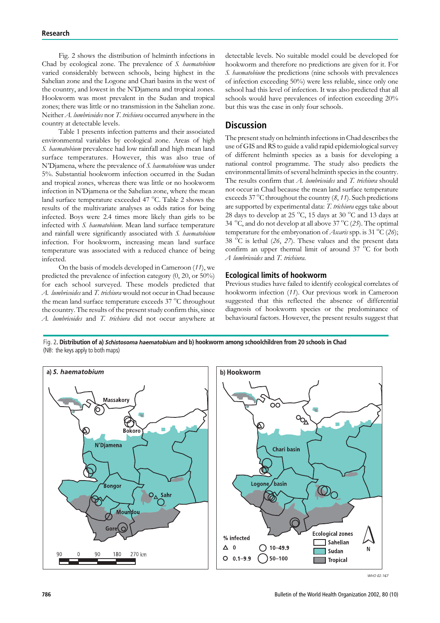Fig. 2 shows the distribution of helminth infections in Chad by ecological zone. The prevalence of S. haematobium varied considerably between schools, being highest in the Sahelian zone and the Logone and Chari basins in the west of the country, and lowest in the N'Djamena and tropical zones. Hookworm was most prevalent in the Sudan and tropical zones; there was little or no transmission in the Sahelian zone. Neither A. lumbricoides nor T. trichiura occurred anywhere in the country at detectable levels.

Table 1 presents infection patterns and their associated environmental variables by ecological zone. Areas of high S. haematobium prevalence had low rainfall and high mean land surface temperatures. However, this was also true of N'Djamena, where the prevalence of S. haematobium was under 5%. Substantial hookworm infection occurred in the Sudan and tropical zones, whereas there was little or no hookworm infection in N'Djamena or the Sahelian zone, where the mean land surface temperature exceeded 47 °C. Table 2 shows the results of the multivariate analyses as odds ratios for being infected. Boys were 2.4 times more likely than girls to be infected with S. haematobium. Mean land surface temperature and rainfall were significantly associated with S. haematobium infection. For hookworm, increasing mean land surface temperature was associated with a reduced chance of being infected.

On the basis of models developed in Cameroon (11), we predicted the prevalence of infection category (0, 20, or 50%) for each school surveyed. These models predicted that A. lumbricoides and T. trichiura would not occur in Chad because the mean land surface temperature exceeds 37 °C throughout the country. The results of the present study confirm this, since A. lumbricoides and T. trichiura did not occur anywhere at detectable levels. No suitable model could be developed for hookworm and therefore no predictions are given for it. For S. haematobium the predictions (nine schools with prevalences of infection exceeding 50%) were less reliable, since only one school had this level of infection. It was also predicted that all schools would have prevalences of infection exceeding 20% but this was the case in only four schools.

# **Discussion**

The present study on helminth infections in Chad describes the use of GIS and RS to guide a valid rapid epidemiological survey of different helminth species as a basis for developing a national control programme. The study also predicts the environmental limits of several helminth species in the country. The results confirm that A. lumbricoides and T. trichiura should not occur in Chad because the mean land surface temperature exceeds 37 °C throughout the country  $(8, 11)$ . Such predictions are supported by experimental data: T. trichiura eggs take about 28 days to develop at 25 °C, 15 days at 30 °C and 13 days at 34  $\mathrm{^{\circ}C},$  and do not develop at all above 37  $\mathrm{^{\circ}C}$  (25). The optimal temperature for the embryonation of Ascaris spp. is 31  $\rm ^{o}\rm C$  (26); 38  $\degree$ C is lethal (26, 27). These values and the present data confirm an upper thermal limit of around  $37\text{ °C}$  for both A lumbricoides and T. trichiura.

## Ecological limits of hookworm

Previous studies have failed to identify ecological correlates of hookworm infection (11). Our previous work in Cameroon suggested that this reflected the absence of differential diagnosis of hookworm species or the predominance of behavioural factors. However, the present results suggest that

Fig. 2. Distribution of a) Schistosoma haematobium and b) hookworm among schoolchildren from 20 schools in Chad (NB: the keys apply to both maps)

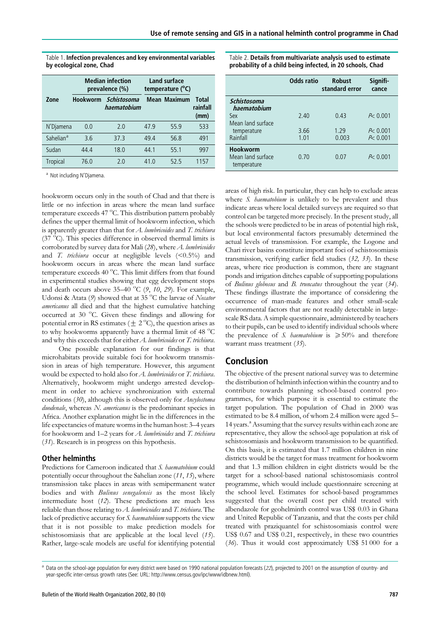Table 1. Infection prevalences and key environmental variables by ecological zone, Chad

|                       | <b>Median infection</b><br>prevalence (%) |                            | Land surface<br>temperature (°C) |                     |                           |
|-----------------------|-------------------------------------------|----------------------------|----------------------------------|---------------------|---------------------------|
| Zone                  | <b>Hookworm</b>                           | Schistosoma<br>haematobium |                                  | <b>Mean Maximum</b> | Total<br>rainfall<br>(mm) |
| N'Diamena             | 0.0                                       | 2.0                        | 47.9                             | 55.9                | 533                       |
| Sahelian <sup>a</sup> | 3.6                                       | 37.3                       | 49.4                             | 56.8                | 491                       |
| Sudan                 | 44.4                                      | 18.0                       | 44.1                             | 55.1                | 997                       |
| <b>Tropical</b>       | 76.0                                      | 2 O                        | 41 <sub>0</sub>                  | 525                 | 1157                      |

a Not including N'Djamena.

hookworm occurs only in the south of Chad and that there is little or no infection in areas where the mean land surface temperature exceeds 47 °C. This distribution pattern probably defines the upper thermal limit of hookworm infection, which is apparently greater than that for  $A$ . lumbricoides and  $T$ . trichiura  $(37<sup>o</sup>C)$ . This species difference in observed thermal limits is corroborated by survey data for Mali (28), where A. lumbricoides and T. trichiura occur at negligible levels  $(<0.5\%)$  and hookworm occurs in areas where the mean land surface temperature exceeds 40 °C. This limit differs from that found in experimental studies showing that egg development stops and death occurs above  $35-40^{\circ}$ C (9,  $70$ , 29). For example, Udonsi & Atata (9) showed that at 35 °C the larvae of Necator americanus all died and that the highest cumulative hatching occurred at 30 °C. Given these findings and allowing for potential error in RS estimates ( $\pm$  2 °C), the question arises as to why hookworms apparently have a thermal limit of 48 °C and why this exceeds that for either A. lumbricoides or T. trichiura.

One possible explanation for our findings is that microhabitats provide suitable foci for hookworm transmission in areas of high temperature. However, this argument would be expected to hold also for A. lumbricoides or T. trichiura. Alternatively, hookworm might undergo arrested development in order to achieve synchronization with external conditions (30), although this is observed only for Ancylostoma duodenale, whereas N. americanus is the predominant species in Africa. Another explanation might lie in the differences in the life expectancies of mature worms in the human host: 3–4 years for hookworm and  $1-2$  years for  $A$ . lumbricoides and  $T$ . trichiura (31). Research is in progress on this hypothesis.

#### Other helminths

Predictions for Cameroon indicated that S. haematobium could potentially occur throughout the Sahelian zone (11, 15), where transmission take places in areas with semipermanent water bodies and with Bulinus senegalensis as the most likely intermediate host (12). These predictions are much less reliable than those relating to  $A$ . lumbricoides and  $T$ . trichiura. The lack of predictive accuracy for S. haematobium supports the view that it is not possible to make prediction models for schistosomiasis that are applicable at the local level (15). Rather, large-scale models are useful for identifying potential Table 2. Details from multivariate analysis used to estimate probability of a child being infected, in 20 schools, Chad

|                                                     | <b>Odds ratio</b> | <b>Robust</b><br>standard error | Signifi-<br>cance |
|-----------------------------------------------------|-------------------|---------------------------------|-------------------|
| Schistosoma<br>haematobium                          |                   |                                 |                   |
| Sex<br>Mean land surface                            | 2.40              | 0.43                            | P < 0.001         |
| temperature                                         | 3.66              | 1.29                            | P < 0.001         |
| Rainfall                                            | 1.01              | 0.003                           | P < 0.001         |
| <b>Hookworm</b><br>Mean land surface<br>temperature | 0.70              | 0.07                            | P < 0.001         |

areas of high risk. In particular, they can help to exclude areas where S. *haematobium* is unlikely to be prevalent and thus indicate areas where local detailed surveys are required so that control can be targeted more precisely. In the present study, all the schools were predicted to be in areas of potential high risk, but local environmental factors presumably determined the actual levels of transmission. For example, the Logone and Chari river basins constitute important foci of schistosomiasis transmission, verifying earlier field studies (32, 33). In these areas, where rice production is common, there are stagnant ponds and irrigation ditches capable of supporting populations of Bulinus globosus and B. truncatus throughout the year (34). These findings illustrate the importance of considering the occurrence of man-made features and other small-scale environmental factors that are not readily detectable in largescale RS data. A simple questionnaire, administered by teachers to their pupils, can be used to identify individual schools where the prevalence of S. haematobium is  $\geq 50\%$  and therefore warrant mass treatment (35).

## Conclusion

The objective of the present national survey was to determine the distribution of helminth infection within the country and to contribute towards planning school-based control programmes, for which purpose it is essential to estimate the target population. The population of Chad in 2000 was estimated to be 8.4 million, of whom 2.4 million were aged 5– 14 years.<sup>a</sup> Assuming that the survey results within each zone are representative, they allow the school-age population at risk of schistosomiasis and hookworm transmission to be quantified. On this basis, it is estimated that 1.7 million children in nine districts would be the target for mass treatment for hookworm and that 1.3 million children in eight districts would be the target for a school-based national schistosomiasis control programme, which would include questionnaire screening at the school level. Estimates for school-based programmes suggested that the overall cost per child treated with albendazole for geohelminth control was US\$ 0.03 in Ghana and United Republic of Tanzania, and that the costs per child treated with praziquantel for schistosomiasis control were US\$ 0.67 and US\$ 0.21, respectively, in these two countries (36). Thus it would cost approximately US\$ 51 000 for a

<sup>&</sup>lt;sup>a</sup> Data on the school-age population for every district were based on 1990 national population forecasts (22), projected to 2001 on the assumption of country- and year-specific inter-census growth rates (See: URL: http://www.census.gov/ipc/www/idbnew.html).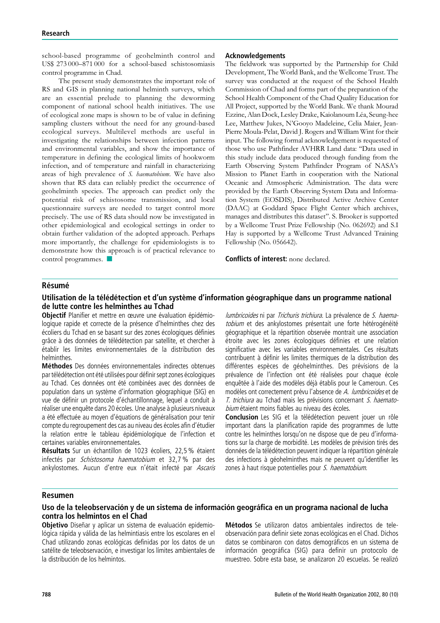school-based programme of geohelminth control and US\$ 273 000–871 000 for a school-based schistosomiasis control programme in Chad.

The present study demonstrates the important role of RS and GIS in planning national helminth surveys, which are an essential prelude to planning the deworming component of national school health initiatives. The use of ecological zone maps is shown to be of value in defining sampling clusters without the need for any ground-based ecological surveys. Multilevel methods are useful in investigating the relationships between infection patterns and environmental variables, and show the importance of temperature in defining the ecological limits of hookworm infection, and of temperature and rainfall in characterizing areas of high prevalence of S. haematobium. We have also shown that RS data can reliably predict the occurrence of geohelminth species. The approach can predict only the potential risk of schistosome transmission, and local questionnaire surveys are needed to target control more precisely. The use of RS data should now be investigated in other epidemiological and ecological settings in order to obtain further validation of the adopted approach. Perhaps more importantly, the challenge for epidemiologists is to demonstrate how this approach is of practical relevance to control programmes.  $\blacksquare$ 

#### Acknowledgements

The fieldwork was supported by the Partnership for Child Development, The World Bank, and the Wellcome Trust. The survey was conducted at the request of the School Health Commission of Chad and forms part of the preparation of the School Health Component of the Chad Quality Education for All Project, supported by the World Bank. We thank Mourad Ezzine, Alan Dock, Lesley Drake, Kaiolanoum Léa, Seung-hee Lee, Matthew Jukes, N'Gooyo Madeleine, Celia Maier, Jean-Pierre Moula-Pelat, David J. Rogers and William Wint for their input. The following formal acknowledgement is requested of those who use Pathfinder AVHRR Land data: ''Data used in this study include data produced through funding from the Earth Observing System Pathfinder Program of NASA's Mission to Planet Earth in cooperation with the National Oceanic and Atmospheric Administration. The data were provided by the Earth Observing System Data and Information System (EOSDIS), Distributed Active Archive Center (DAAC) at Goddard Space Flight Center which archives, manages and distributes this dataset''. S. Brooker is supported by a Wellcome Trust Prize Fellowship (No. 062692) and S.I Hay is supported by a Wellcome Trust Advanced Training Fellowship (No. 056642).

Conflicts of interest: none declared.

#### **Résumé**

## Utilisation de la télédétection et d'un système d'information géographique dans un programme national de lutte contre les helminthes au Tchad

Objectif Planifier et mettre en œuvre une évaluation épidémiologique rapide et correcte de la présence d'helminthes chez des écoliers du Tchad en se basant sur des zones écologiques définies grâce à des données de télédétection par satellite, et chercher à e´tablir les limites environnementales de la distribution des helminthes.

Méthodes Des données environnementales indirectes obtenues par télédétection ont été utilisées pour définir sept zones écologiques au Tchad. Ces données ont été combinées avec des données de population dans un système d'information géographique (SIG) en vue de définir un protocole d'échantillonnage, lequel a conduit à réaliser une enquête dans 20 écoles. Une analyse à plusieurs niveaux a été effectuée au moyen d'équations de généralisation pour tenir compte du regroupement des cas au niveau des écoles afin d'étudier la relation entre le tableau épidémiologique de l'infection et certaines variables environnementales.

Résultats Sur un échantillon de 1023 écoliers, 22,5 % étaient infectés par Schistosoma haematobium et 32,7 % par des ankylostomes. Aucun d'entre eux n'était infecté par Ascaris

lumbricoides ni par Trichuris trichiura. La prévalence de S. haematobium et des ankylostomes présentait une forte hétérogénéité géographique et la répartition observée montrait une association étroite avec les zones écologiques définies et une relation significative avec les variables environnementales. Ces résultats contribuent à définir les limites thermiques de la distribution des différentes espèces de géohelminthes. Des prévisions de la prévalence de l'infection ont été réalisées pour chaque école enquêtée à l'aide des modèles déjà établis pour le Cameroun. Ces modèles ont correctement prévu l'absence de A. lumbricoides et de T. trichiura au Tchad mais les prévisions concernant S. haematobium étaient moins fiables au niveau des écoles.

Conclusion Les SIG et la télédétection peuvent jouer un rôle important dans la planification rapide des programmes de lutte contre les helminthes lorsqu'on ne dispose que de peu d'informations sur la charge de morbidité. Les modèles de prévision tirés des données de la télédétection peuvent indiquer la répartition générale des infections à géohelminthes mais ne peuvent qu'identifier les zones à haut risque potentielles pour S. haematobium.

#### Resumen

## Uso de la teleobservación y de un sistema de información geográfica en un programa nacional de lucha contra los helmintos en el Chad

Objetivo Diseñar y aplicar un sistema de evaluación epidemiológica rápida y válida de las helmintiasis entre los escolares en el Chad utilizando zonas ecológicas definidas por los datos de un satélite de teleobservación, e investigar los límites ambientales de la distribución de los helmintos.

Métodos Se utilizaron datos ambientales indirectos de teleobservación para definir siete zonas ecológicas en el Chad. Dichos datos se combinaron con datos demográficos en un sistema de información geográfica (SIG) para definir un protocolo de muestreo. Sobre esta base, se analizaron 20 escuelas. Se realizo´